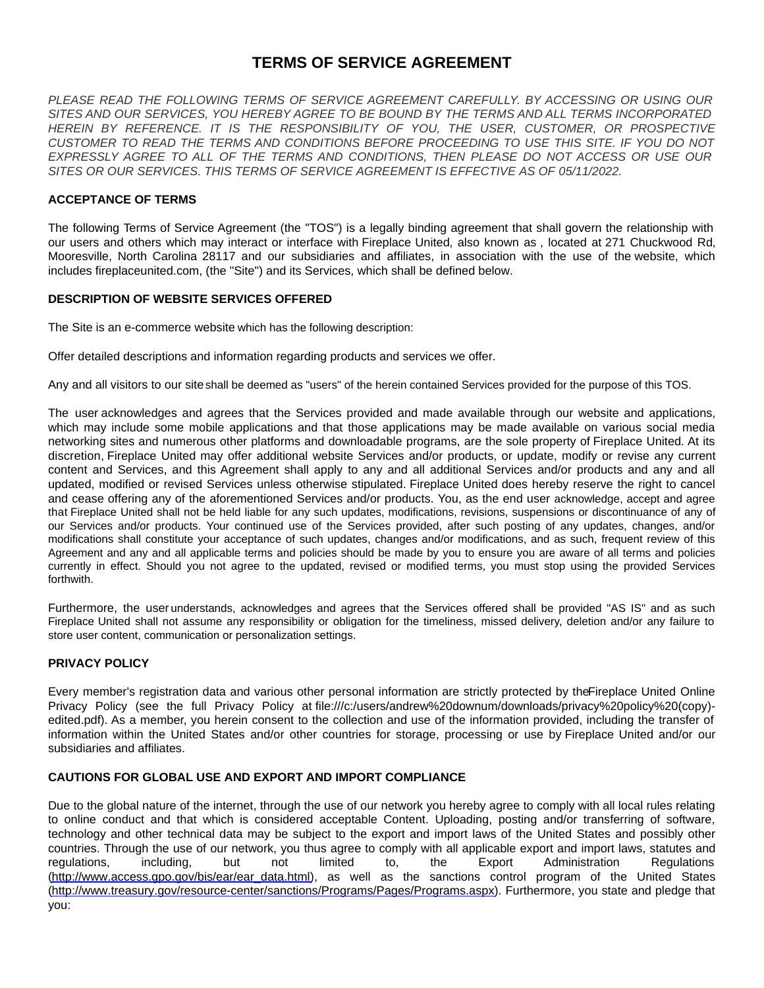# **TERMS OF SERVICE AGREEMENT**

*PLEASE READ THE FOLLOWING TERMS OF SERVICE AGREEMENT CAREFULLY. BY ACCESSING OR USING OUR SITES AND OUR SERVICES, YOU HEREBY AGREE TO BE BOUND BY THE TERMS AND ALL TERMS INCORPORATED HEREIN BY REFERENCE. IT IS THE RESPONSIBILITY OF YOU, THE USER, CUSTOMER, OR PROSPECTIVE CUSTOMER TO READ THE TERMS AND CONDITIONS BEFORE PROCEEDING TO USE THIS SITE. IF YOU DO NOT EXPRESSLY AGREE TO ALL OF THE TERMS AND CONDITIONS, THEN PLEASE DO NOT ACCESS OR USE OUR SITES OR OUR SERVICES. THIS TERMS OF SERVICE AGREEMENT IS EFFECTIVE AS OF 05/11/2022.*

# **ACCEPTANCE OF TERMS**

The following Terms of Service Agreement (the "TOS") is a legally binding agreement that shall govern the relationship with our users and others which may interact or interface with Fireplace United, also known as , located at 271 Chuckwood Rd, Mooresville, North Carolina 28117 and our subsidiaries and affiliates, in association with the use of the website, which includes fireplaceunited.com, (the "Site") and its Services, which shall be defined below.

### **DESCRIPTION OF WEBSITE SERVICES OFFERED**

The Site is an e-commerce website which has the following description:

Offer detailed descriptions and information regarding products and services we offer.

Any and all visitors to our site shall be deemed as "users" of the herein contained Services provided for the purpose of this TOS.

The user acknowledges and agrees that the Services provided and made available through our website and applications, which may include some mobile applications and that those applications may be made available on various social media networking sites and numerous other platforms and downloadable programs, are the sole property of Fireplace United. At its discretion, Fireplace United may offer additional website Services and/or products, or update, modify or revise any current content and Services, and this Agreement shall apply to any and all additional Services and/or products and any and all updated, modified or revised Services unless otherwise stipulated. Fireplace United does hereby reserve the right to cancel and cease offering any of the aforementioned Services and/or products. You, as the end user acknowledge, accept and agree that Fireplace United shall not be held liable for any such updates, modifications, revisions, suspensions or discontinuance of any of our Services and/or products. Your continued use of the Services provided, after such posting of any updates, changes, and/or modifications shall constitute your acceptance of such updates, changes and/or modifications, and as such, frequent review of this Agreement and any and all applicable terms and policies should be made by you to ensure you are aware of all terms and policies currently in effect. Should you not agree to the updated, revised or modified terms, you must stop using the provided Services forthwith.

Furthermore, the user understands, acknowledges and agrees that the Services offered shall be provided "AS IS" and as such Fireplace United shall not assume any responsibility or obligation for the timeliness, missed delivery, deletion and/or any failure to store user content, communication or personalization settings.

# **PRIVACY POLICY**

Every member's registration data and various other personal information are strictly protected by the Fireplace United Online Privacy Policy (see the full Privacy Policy at file:///c:/users/andrew%20downum/downloads/privacy%20policy%20(copy) edited.pdf). As a member, you herein consent to the collection and use of the information provided, including the transfer of information within the United States and/or other countries for storage, processing or use by Fireplace United and/or our subsidiaries and affiliates.

# **CAUTIONS FOR GLOBAL USE AND EXPORT AND IMPORT COMPLIANCE**

Due to the global nature of the internet, through the use of our network you hereby agree to comply with all local rules relating to online conduct and that which is considered acceptable Content. Uploading, posting and/or transferring of software, technology and other technical data may be subject to the export and import laws of the United States and possibly other countries. Through the use of our network, you thus agree to comply with all applicable export and import laws, statutes and regulations, including, but not limited to, the Export Administration Regulations [\(http://www.access.gpo.gov/bis/ear/ear\\_data.html](http://www.access.gpo.gov/bis/ear/ear_data.html)), as well as the sanctions control program of the United States [\(http://www.treasury.gov/resource-center/sanctions/Programs/Pages/Programs.aspx](http://www.treasury.gov/resource-center/sanctions/Programs/Pages/Programs.aspx)). Furthermore, you state and pledge that you: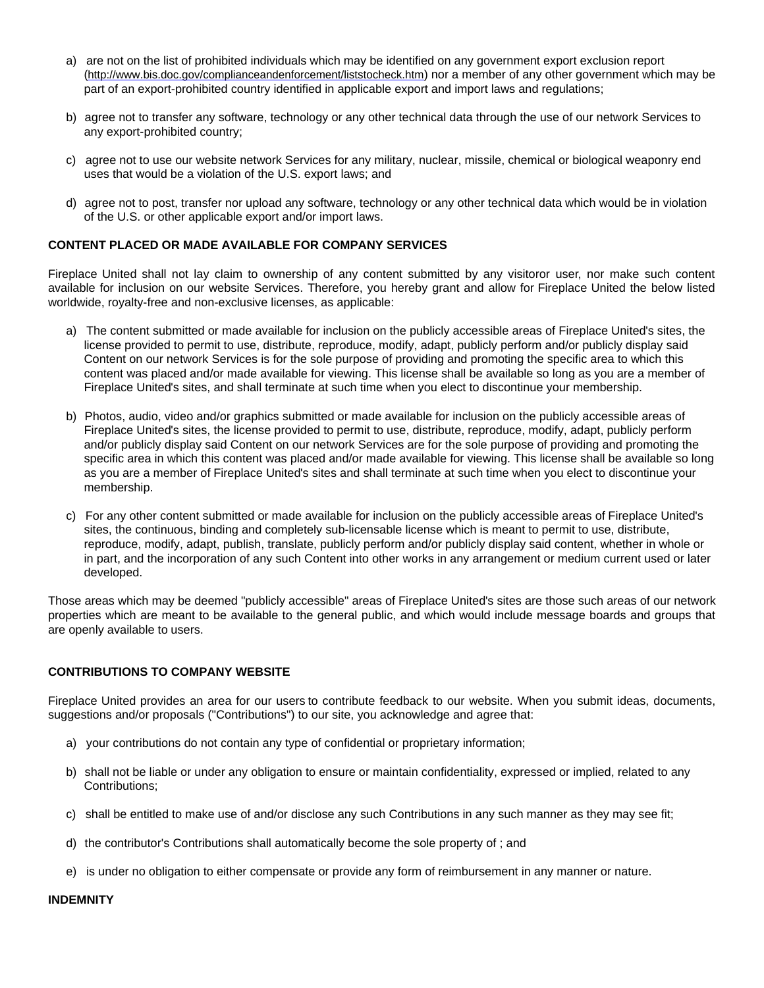- a) are not on the list of prohibited individuals which may be identified on any government export exclusion report (<http://www.bis.doc.gov/complianceandenforcement/liststocheck.htm>) nor a member of any other government which may be part of an export-prohibited country identified in applicable export and import laws and regulations;
- b) agree not to transfer any software, technology or any other technical data through the use of our network Services to any export-prohibited country;
- c) agree not to use our website network Services for any military, nuclear, missile, chemical or biological weaponry end uses that would be a violation of the U.S. export laws; and
- d) agree not to post, transfer nor upload any software, technology or any other technical data which would be in violation of the U.S. or other applicable export and/or import laws.

# **CONTENT PLACED OR MADE AVAILABLE FOR COMPANY SERVICES**

Fireplace United shall not lay claim to ownership of any content submitted by any visitoror user, nor make such content available for inclusion on our website Services. Therefore, you hereby grant and allow for Fireplace United the below listed worldwide, royalty-free and non-exclusive licenses, as applicable:

- a) The content submitted or made available for inclusion on the publicly accessible areas of Fireplace United's sites, the license provided to permit to use, distribute, reproduce, modify, adapt, publicly perform and/or publicly display said Content on our network Services is for the sole purpose of providing and promoting the specific area to which this content was placed and/or made available for viewing. This license shall be available so long as you are a member of Fireplace United's sites, and shall terminate at such time when you elect to discontinue your membership.
- b) Photos, audio, video and/or graphics submitted or made available for inclusion on the publicly accessible areas of Fireplace United's sites, the license provided to permit to use, distribute, reproduce, modify, adapt, publicly perform and/or publicly display said Content on our network Services are for the sole purpose of providing and promoting the specific area in which this content was placed and/or made available for viewing. This license shall be available so long as you are a member of Fireplace United's sites and shall terminate at such time when you elect to discontinue your membership.
- c) For any other content submitted or made available for inclusion on the publicly accessible areas of Fireplace United's sites, the continuous, binding and completely sub-licensable license which is meant to permit to use, distribute, reproduce, modify, adapt, publish, translate, publicly perform and/or publicly display said content, whether in whole or in part, and the incorporation of any such Content into other works in any arrangement or medium current used or later developed.

Those areas which may be deemed "publicly accessible" areas of Fireplace United's sites are those such areas of our network properties which are meant to be available to the general public, and which would include message boards and groups that are openly available to users.

# **CONTRIBUTIONS TO COMPANY WEBSITE**

Fireplace United provides an area for our users to contribute feedback to our website. When you submit ideas, documents, suggestions and/or proposals ("Contributions") to our site, you acknowledge and agree that:

- a) your contributions do not contain any type of confidential or proprietary information;
- b) shall not be liable or under any obligation to ensure or maintain confidentiality, expressed or implied, related to any Contributions;
- c) shall be entitled to make use of and/or disclose any such Contributions in any such manner as they may see fit;
- d) the contributor's Contributions shall automatically become the sole property of ; and
- e) is under no obligation to either compensate or provide any form of reimbursement in any manner or nature.

### **INDEMNITY**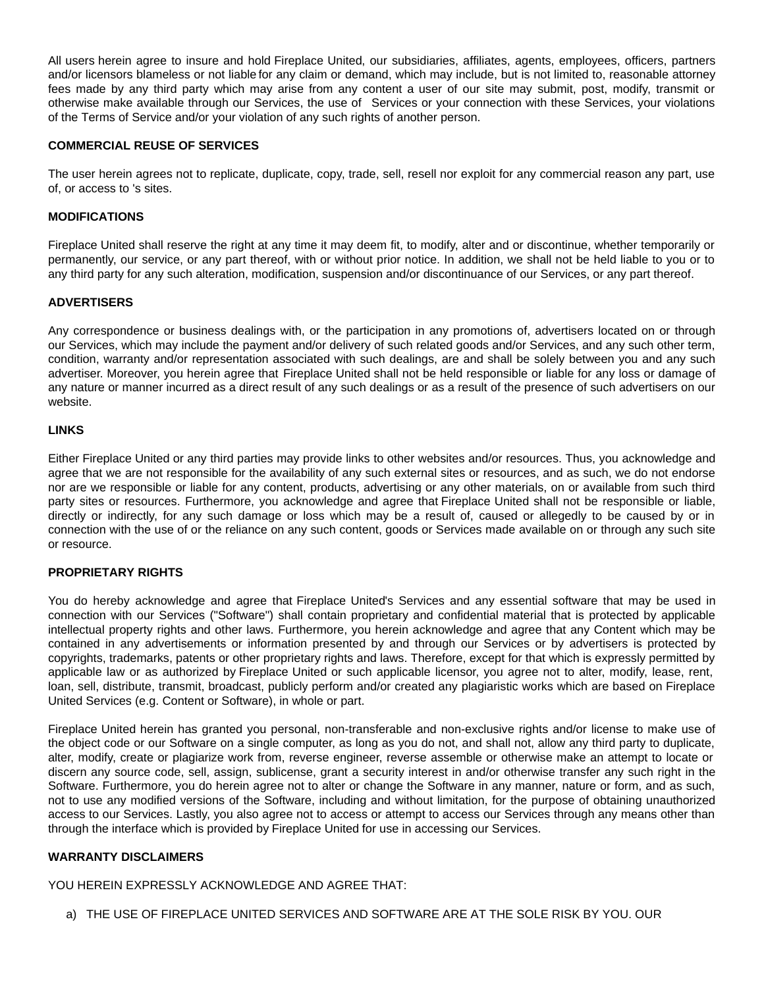All users herein agree to insure and hold Fireplace United, our subsidiaries, affiliates, agents, employees, officers, partners and/or licensors blameless or not liable for any claim or demand, which may include, but is not limited to, reasonable attorney fees made by any third party which may arise from any content a user of our site may submit, post, modify, transmit or otherwise make available through our Services, the use of Services or your connection with these Services, your violations of the Terms of Service and/or your violation of any such rights of another person.

### **COMMERCIAL REUSE OF SERVICES**

The user herein agrees not to replicate, duplicate, copy, trade, sell, resell nor exploit for any commercial reason any part, use of, or access to 's sites.

# **MODIFICATIONS**

Fireplace United shall reserve the right at any time it may deem fit, to modify, alter and or discontinue, whether temporarily or permanently, our service, or any part thereof, with or without prior notice. In addition, we shall not be held liable to you or to any third party for any such alteration, modification, suspension and/or discontinuance of our Services, or any part thereof.

### **ADVERTISERS**

Any correspondence or business dealings with, or the participation in any promotions of, advertisers located on or through our Services, which may include the payment and/or delivery of such related goods and/or Services, and any such other term, condition, warranty and/or representation associated with such dealings, are and shall be solely between you and any such advertiser. Moreover, you herein agree that Fireplace United shall not be held responsible or liable for any loss or damage of any nature or manner incurred as a direct result of any such dealings or as a result of the presence of such advertisers on our website.

### **LINKS**

Either Fireplace United or any third parties may provide links to other websites and/or resources. Thus, you acknowledge and agree that we are not responsible for the availability of any such external sites or resources, and as such, we do not endorse nor are we responsible or liable for any content, products, advertising or any other materials, on or available from such third party sites or resources. Furthermore, you acknowledge and agree that Fireplace United shall not be responsible or liable, directly or indirectly, for any such damage or loss which may be a result of, caused or allegedly to be caused by or in connection with the use of or the reliance on any such content, goods or Services made available on or through any such site or resource.

### **PROPRIETARY RIGHTS**

You do hereby acknowledge and agree that Fireplace United's Services and any essential software that may be used in connection with our Services ("Software") shall contain proprietary and confidential material that is protected by applicable intellectual property rights and other laws. Furthermore, you herein acknowledge and agree that any Content which may be contained in any advertisements or information presented by and through our Services or by advertisers is protected by copyrights, trademarks, patents or other proprietary rights and laws. Therefore, except for that which is expressly permitted by applicable law or as authorized by Fireplace United or such applicable licensor, you agree not to alter, modify, lease, rent, loan, sell, distribute, transmit, broadcast, publicly perform and/or created any plagiaristic works which are based on Fireplace United Services (e.g. Content or Software), in whole or part.

Fireplace United herein has granted you personal, non-transferable and non-exclusive rights and/or license to make use of the object code or our Software on a single computer, as long as you do not, and shall not, allow any third party to duplicate, alter, modify, create or plagiarize work from, reverse engineer, reverse assemble or otherwise make an attempt to locate or discern any source code, sell, assign, sublicense, grant a security interest in and/or otherwise transfer any such right in the Software. Furthermore, you do herein agree not to alter or change the Software in any manner, nature or form, and as such, not to use any modified versions of the Software, including and without limitation, for the purpose of obtaining unauthorized access to our Services. Lastly, you also agree not to access or attempt to access our Services through any means other than through the interface which is provided by Fireplace United for use in accessing our Services.

# **WARRANTY DISCLAIMERS**

YOU HEREIN EXPRESSLY ACKNOWLEDGE AND AGREE THAT:

a) THE USE OF FIREPLACE UNITED SERVICES AND SOFTWARE ARE AT THE SOLE RISK BY YOU. OUR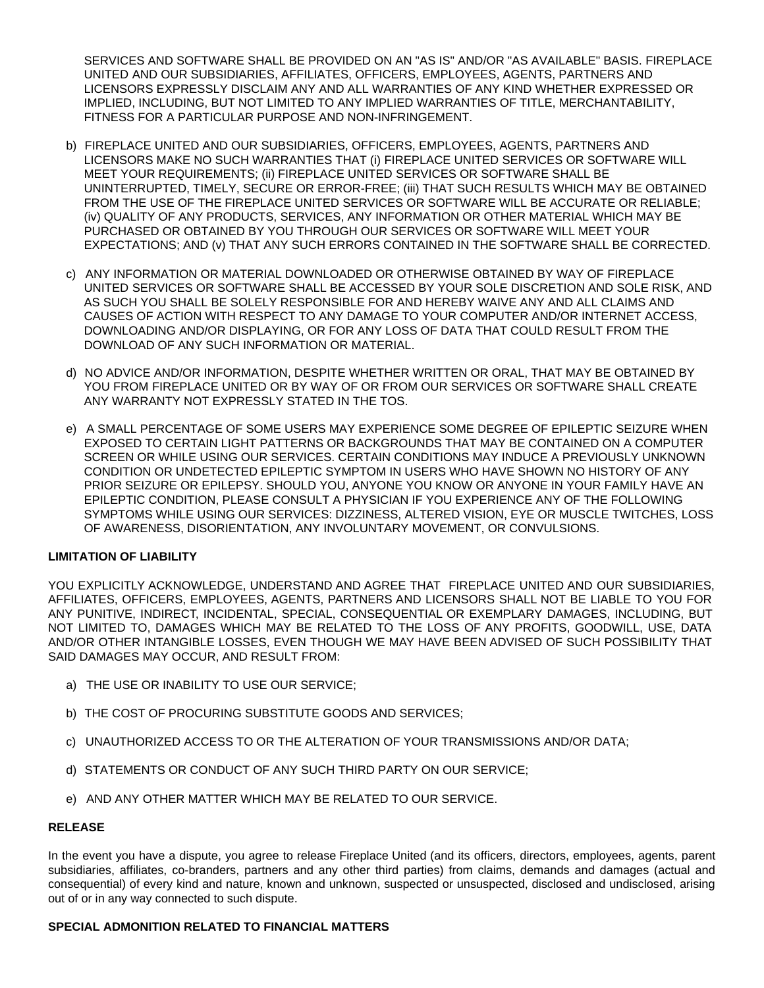SERVICES AND SOFTWARE SHALL BE PROVIDED ON AN "AS IS" AND/OR "AS AVAILABLE" BASIS. FIREPLACE UNITED AND OUR SUBSIDIARIES, AFFILIATES, OFFICERS, EMPLOYEES, AGENTS, PARTNERS AND LICENSORS EXPRESSLY DISCLAIM ANY AND ALL WARRANTIES OF ANY KIND WHETHER EXPRESSED OR IMPLIED, INCLUDING, BUT NOT LIMITED TO ANY IMPLIED WARRANTIES OF TITLE, MERCHANTABILITY, FITNESS FOR A PARTICULAR PURPOSE AND NON-INFRINGEMENT.

- b) FIREPLACE UNITED AND OUR SUBSIDIARIES, OFFICERS, EMPLOYEES, AGENTS, PARTNERS AND LICENSORS MAKE NO SUCH WARRANTIES THAT (i) FIREPLACE UNITED SERVICES OR SOFTWARE WILL MEET YOUR REQUIREMENTS; (ii) FIREPLACE UNITED SERVICES OR SOFTWARE SHALL BE UNINTERRUPTED, TIMELY, SECURE OR ERROR-FREE; (iii) THAT SUCH RESULTS WHICH MAY BE OBTAINED FROM THE USE OF THE FIREPLACE UNITED SERVICES OR SOFTWARE WILL BE ACCURATE OR RELIABLE; (iv) QUALITY OF ANY PRODUCTS, SERVICES, ANY INFORMATION OR OTHER MATERIAL WHICH MAY BE PURCHASED OR OBTAINED BY YOU THROUGH OUR SERVICES OR SOFTWARE WILL MEET YOUR EXPECTATIONS; AND (v) THAT ANY SUCH ERRORS CONTAINED IN THE SOFTWARE SHALL BE CORRECTED.
- c) ANY INFORMATION OR MATERIAL DOWNLOADED OR OTHERWISE OBTAINED BY WAY OF FIREPLACE UNITED SERVICES OR SOFTWARE SHALL BE ACCESSED BY YOUR SOLE DISCRETION AND SOLE RISK, AND AS SUCH YOU SHALL BE SOLELY RESPONSIBLE FOR AND HEREBY WAIVE ANY AND ALL CLAIMS AND CAUSES OF ACTION WITH RESPECT TO ANY DAMAGE TO YOUR COMPUTER AND/OR INTERNET ACCESS, DOWNLOADING AND/OR DISPLAYING, OR FOR ANY LOSS OF DATA THAT COULD RESULT FROM THE DOWNLOAD OF ANY SUCH INFORMATION OR MATERIAL.
- d) NO ADVICE AND/OR INFORMATION, DESPITE WHETHER WRITTEN OR ORAL, THAT MAY BE OBTAINED BY YOU FROM FIREPLACE UNITED OR BY WAY OF OR FROM OUR SERVICES OR SOFTWARE SHALL CREATE ANY WARRANTY NOT EXPRESSLY STATED IN THE TOS.
- e) A SMALL PERCENTAGE OF SOME USERS MAY EXPERIENCE SOME DEGREE OF EPILEPTIC SEIZURE WHEN EXPOSED TO CERTAIN LIGHT PATTERNS OR BACKGROUNDS THAT MAY BE CONTAINED ON A COMPUTER SCREEN OR WHILE USING OUR SERVICES. CERTAIN CONDITIONS MAY INDUCE A PREVIOUSLY UNKNOWN CONDITION OR UNDETECTED EPILEPTIC SYMPTOM IN USERS WHO HAVE SHOWN NO HISTORY OF ANY PRIOR SEIZURE OR EPILEPSY. SHOULD YOU, ANYONE YOU KNOW OR ANYONE IN YOUR FAMILY HAVE AN EPILEPTIC CONDITION, PLEASE CONSULT A PHYSICIAN IF YOU EXPERIENCE ANY OF THE FOLLOWING SYMPTOMS WHILE USING OUR SERVICES: DIZZINESS, ALTERED VISION, EYE OR MUSCLE TWITCHES, LOSS OF AWARENESS, DISORIENTATION, ANY INVOLUNTARY MOVEMENT, OR CONVULSIONS.

# **LIMITATION OF LIABILITY**

YOU EXPLICITLY ACKNOWLEDGE, UNDERSTAND AND AGREE THAT FIREPLACE UNITED AND OUR SUBSIDIARIES, AFFILIATES, OFFICERS, EMPLOYEES, AGENTS, PARTNERS AND LICENSORS SHALL NOT BE LIABLE TO YOU FOR ANY PUNITIVE, INDIRECT, INCIDENTAL, SPECIAL, CONSEQUENTIAL OR EXEMPLARY DAMAGES, INCLUDING, BUT NOT LIMITED TO, DAMAGES WHICH MAY BE RELATED TO THE LOSS OF ANY PROFITS, GOODWILL, USE, DATA AND/OR OTHER INTANGIBLE LOSSES, EVEN THOUGH WE MAY HAVE BEEN ADVISED OF SUCH POSSIBILITY THAT SAID DAMAGES MAY OCCUR, AND RESULT FROM:

- a) THE USE OR INABILITY TO USE OUR SERVICE;
- b) THE COST OF PROCURING SUBSTITUTE GOODS AND SERVICES;
- c) UNAUTHORIZED ACCESS TO OR THE ALTERATION OF YOUR TRANSMISSIONS AND/OR DATA;
- d) STATEMENTS OR CONDUCT OF ANY SUCH THIRD PARTY ON OUR SERVICE;
- e) AND ANY OTHER MATTER WHICH MAY BE RELATED TO OUR SERVICE.

# **RELEASE**

In the event you have a dispute, you agree to release Fireplace United (and its officers, directors, employees, agents, parent subsidiaries, affiliates, co-branders, partners and any other third parties) from claims, demands and damages (actual and consequential) of every kind and nature, known and unknown, suspected or unsuspected, disclosed and undisclosed, arising out of or in any way connected to such dispute.

### **SPECIAL ADMONITION RELATED TO FINANCIAL MATTERS**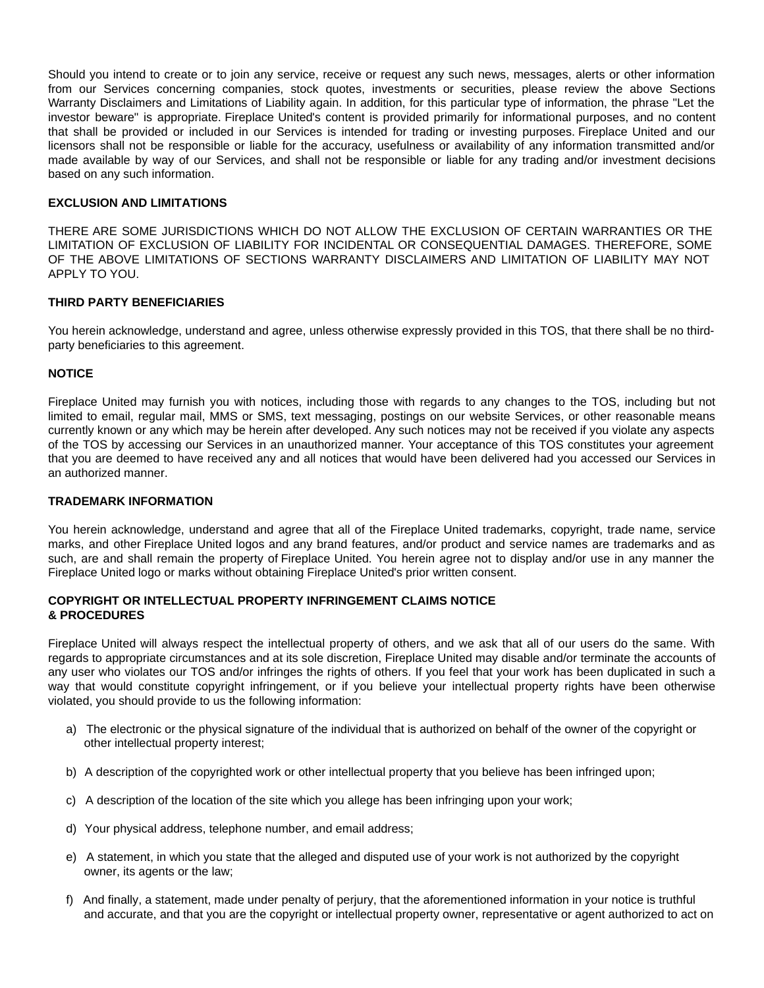Should you intend to create or to join any service, receive or request any such news, messages, alerts or other information from our Services concerning companies, stock quotes, investments or securities, please review the above Sections Warranty Disclaimers and Limitations of Liability again. In addition, for this particular type of information, the phrase "Let the investor beware" is appropriate. Fireplace United's content is provided primarily for informational purposes, and no content that shall be provided or included in our Services is intended for trading or investing purposes. Fireplace United and our licensors shall not be responsible or liable for the accuracy, usefulness or availability of any information transmitted and/or made available by way of our Services, and shall not be responsible or liable for any trading and/or investment decisions based on any such information.

### **EXCLUSION AND LIMITATIONS**

THERE ARE SOME JURISDICTIONS WHICH DO NOT ALLOW THE EXCLUSION OF CERTAIN WARRANTIES OR THE LIMITATION OF EXCLUSION OF LIABILITY FOR INCIDENTAL OR CONSEQUENTIAL DAMAGES. THEREFORE, SOME OF THE ABOVE LIMITATIONS OF SECTIONS WARRANTY DISCLAIMERS AND LIMITATION OF LIABILITY MAY NOT APPLY TO YOU.

### **THIRD PARTY BENEFICIARIES**

You herein acknowledge, understand and agree, unless otherwise expressly provided in this TOS, that there shall be no thirdparty beneficiaries to this agreement.

### **NOTICE**

Fireplace United may furnish you with notices, including those with regards to any changes to the TOS, including but not limited to email, regular mail, MMS or SMS, text messaging, postings on our website Services, or other reasonable means currently known or any which may be herein after developed. Any such notices may not be received if you violate any aspects of the TOS by accessing our Services in an unauthorized manner. Your acceptance of this TOS constitutes your agreement that you are deemed to have received any and all notices that would have been delivered had you accessed our Services in an authorized manner.

### **TRADEMARK INFORMATION**

You herein acknowledge, understand and agree that all of the Fireplace United trademarks, copyright, trade name, service marks, and other Fireplace United logos and any brand features, and/or product and service names are trademarks and as such, are and shall remain the property of Fireplace United. You herein agree not to display and/or use in any manner the Fireplace United logo or marks without obtaining Fireplace United's prior written consent.

### **COPYRIGHT OR INTELLECTUAL PROPERTY INFRINGEMENT CLAIMS NOTICE & PROCEDURES**

Fireplace United will always respect the intellectual property of others, and we ask that all of our users do the same. With regards to appropriate circumstances and at its sole discretion, Fireplace United may disable and/or terminate the accounts of any user who violates our TOS and/or infringes the rights of others. If you feel that your work has been duplicated in such a way that would constitute copyright infringement, or if you believe your intellectual property rights have been otherwise violated, you should provide to us the following information:

- a) The electronic or the physical signature of the individual that is authorized on behalf of the owner of the copyright or other intellectual property interest;
- b) A description of the copyrighted work or other intellectual property that you believe has been infringed upon;
- c) A description of the location of the site which you allege has been infringing upon your work;
- d) Your physical address, telephone number, and email address;
- e) A statement, in which you state that the alleged and disputed use of your work is not authorized by the copyright owner, its agents or the law;
- f) And finally, a statement, made under penalty of perjury, that the aforementioned information in your notice is truthful and accurate, and that you are the copyright or intellectual property owner, representative or agent authorized to act on